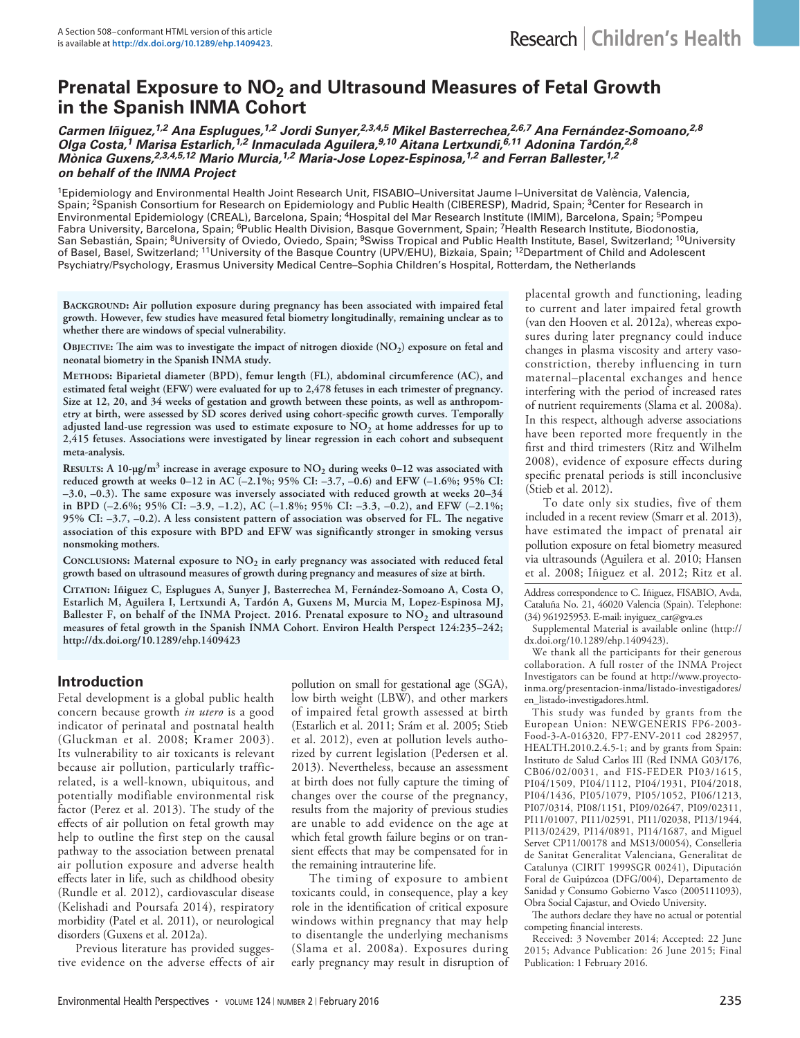# **Prenatal Exposure to NO<sub>2</sub> and Ultrasound Measures of Fetal Growth in the Spanish INMA Cohort**

*Carmen Iñiguez,1,2 Ana Esplugues,1,2 Jordi Sunyer,2,3,4,5 Mikel Basterrechea,2,6,7 Ana Fernández-Somoano,2,8 Olga Costa,1 Marisa Estarlich,1,2 Inmaculada Aguilera,9,10 Aitana Lertxundi,6,11 Adonina Tardón,2,8 Mònica Guxens,2,3,4,5,12 Mario Murcia,1,2 Maria-Jose Lopez-Espinosa,1,2 and Ferran Ballester,1,2 on behalf of the INMA Project*

1Epidemiology and Environmental Health Joint Research Unit, FISABIO–Universitat Jaume I–Universitat de València, Valencia, Spain; <sup>2</sup>Spanish Consortium for Research on Epidemiology and Public Health (CIBERESP), Madrid, Spain; <sup>3</sup>Center for Research in Environmental Epidemiology (CREAL), Barcelona, Spain; 4Hospital del Mar Research Institute (IMIM), Barcelona, Spain; 5Pompeu Fabra University, Barcelona, Spain; <sup>6</sup>Public Health Division, Basque Government, Spain; <sup>7</sup>Health Research Institute, Biodonostia, San Sebastián, Spain; <sup>8</sup>University of Oviedo, Oviedo, Spain; <sup>9</sup>Swiss Tropical and Public Health Institute, Basel, Switzerland; <sup>10</sup>University of Basel, Basel, Switzerland; 11University of the Basque Country (UPV/EHU), Bizkaia, Spain; 12Department of Child and Adolescent Psychiatry/Psychology, Erasmus University Medical Centre–Sophia Children's Hospital, Rotterdam, the Netherlands

**Background: Air pollution exposure during pregnancy has been associated with impaired fetal growth. However, few studies have measured fetal biometry longitudinally, remaining unclear as to whether there are windows of special vulnerability.** 

OBJECTIVE: The aim was to investigate the impact of nitrogen dioxide (NO<sub>2</sub>) exposure on fetal and **neonatal biometry in the Spanish INMA study.**

**Methods: Biparietal diameter (BPD), femur length (FL), abdominal circumference (AC), and estimated fetal weight (EFW) were evaluated for up to 2,478 fetuses in each trimester of pregnancy. Size at 12, 20, and 34 weeks of gestation and growth between these points, as well as anthropometry at birth, were assessed by SD scores derived using cohort-specific growth curves. Temporally adjusted land-use regression was used to estimate exposure to NO2 at home addresses for up to 2,415 fetuses. Associations were investigated by linear regression in each cohort and subsequent meta-analysis.**

**RESULTS:** A 10-µg/m<sup>3</sup> increase in average exposure to NO<sub>2</sub> during weeks 0–12 was associated with **reduced growth at weeks 0–12 in AC (–2.1%; 95% CI: –3.7, –0.6) and EFW (–1.6%; 95% CI: –3.0, –0.3). The same exposure was inversely associated with reduced growth at weeks 20–34 in BPD (–2.6%; 95% CI: –3.9, –1.2), AC (–1.8%; 95% CI: –3.3, –0.2), and EFW (–2.1%; 95% CI: –3.7, –0.2). A less consistent pattern of association was observed for FL. The negative association of this exposure with BPD and EFW was significantly stronger in smoking versus nonsmoking mothers.**

CONCLUSIONS: Maternal exposure to NO<sub>2</sub> in early pregnancy was associated with reduced fetal **growth based on ultrasound measures of growth during pregnancy and measures of size at birth.**

**Citation: Iñiguez C, Esplugues A, Sunyer J, Basterrechea M, Fernández-Somoano A, Costa O, Estarlich M, Aguilera I, Lertxundi A, Tardón A, Guxens M, Murcia M, Lopez-Espinosa MJ,**  Ballester F, on behalf of the INMA Project. 2016. Prenatal exposure to NO<sub>2</sub> and ultrasound **measures of fetal growth in the Spanish INMA Cohort. Environ Health Perspect 124:235–242; http://dx.doi.org/10.1289/ehp.1409423**

# **Introduction**

Fetal development is a global public health concern because growth *in utero* is a good indicator of perinatal and postnatal health (Gluckman et al. 2008; Kramer 2003). Its vulnerability to air toxicants is relevant because air pollution, particularly trafficrelated, is a well-known, ubiquitous, and potentially modifiable environmental risk factor (Perez et al. 2013). The study of the effects of air pollution on fetal growth may help to outline the first step on the causal pathway to the association between prenatal air pollution exposure and adverse health effects later in life, such as childhood obesity (Rundle et al. 2012), cardiovascular disease (Kelishadi and Poursafa 2014), respiratory morbidity (Patel et al. 2011), or neurological disorders (Guxens et al. 2012a).

Previous literature has provided suggestive evidence on the adverse effects of air pollution on small for gestational age (SGA), low birth weight (LBW), and other markers of impaired fetal growth assessed at birth (Estarlich et al. 2011; Srám et al. 2005; Stieb et al. 2012), even at pollution levels authorized by current legislation (Pedersen et al. 2013). Nevertheless, because an assessment at birth does not fully capture the timing of changes over the course of the pregnancy, results from the majority of previous studies are unable to add evidence on the age at which fetal growth failure begins or on transient effects that may be compensated for in the remaining intrauterine life.

The timing of exposure to ambient toxicants could, in consequence, play a key role in the identification of critical exposure windows within pregnancy that may help to disentangle the underlying mechanisms (Slama et al. 2008a). Exposures during early pregnancy may result in disruption of

placental growth and functioning, leading to current and later impaired fetal growth (van den Hooven et al. 2012a), whereas exposures during later pregnancy could induce changes in plasma viscosity and artery vasoconstriction, thereby influencing in turn maternal–placental exchanges and hence interfering with the period of increased rates of nutrient requirements (Slama et al. 2008a). In this respect, although adverse associations have been reported more frequently in the first and third trimesters (Ritz and Wilhelm 2008), evidence of exposure effects during specific prenatal periods is still inconclusive (Stieb et al. 2012).

To date only six studies, five of them included in a recent review (Smarr et al. 2013), have estimated the impact of prenatal air pollution exposure on fetal biometry measured via ultrasounds (Aguilera et al. 2010; Hansen et al. 2008; Iñiguez et al. 2012; Ritz et al.

Address correspondence to C. Iñiguez, FISABIO, Avda, Cataluña No. 21, 46020 Valencia (Spain). Telephone: (34) 961925953. E-mail: inyiguez\_car@gva.es

Supplemental Material is available online (http:// dx.doi.org/10.1289/ehp.1409423).

We thank all the participants for their generous collaboration. A full roster of the INMA Project Investigators can be found at http://www.proyectoinma.org/presentacion-inma/listado-investigadores/ en\_listado-investigadores.html.

This study was funded by grants from the European Union: NEWGENERIS FP6-2003- Food-3-A-016320, FP7-ENV-2011 cod 282957, HEALTH.2010.2.4.5-1; and by grants from Spain: Instituto de Salud Carlos III (Red INMA G03/176, CB06/02/0031, and FIS-FEDER PI03/1615, PI04/1509, PI04/1112, PI04/1931, PI04/2018, PI04/1436, PI05/1079, PI05/1052, PI06/1213, PI07/0314, PI08/1151, PI09/02647, PI09/02311, PI11/01007, PI11/02591, PI11/02038, PI13/1944, PI13/02429, PI14/0891, PI14/1687, and Miguel Servet CP11/00178 and MS13/00054), Conselleria de Sanitat Generalitat Valenciana, Generalitat de Catalunya (CIRIT 1999SGR 00241), Diputación Foral de Guipúzcoa (DFG/004), Departamento de Sanidad y Consumo Gobierno Vasco (2005111093), Obra Social Cajastur, and Oviedo University.

The authors declare they have no actual or potential competing financial interests.

Received: 3 November 2014; Accepted: 22 June 2015; Advance Publication: 26 June 2015; Final Publication: 1 February 2016.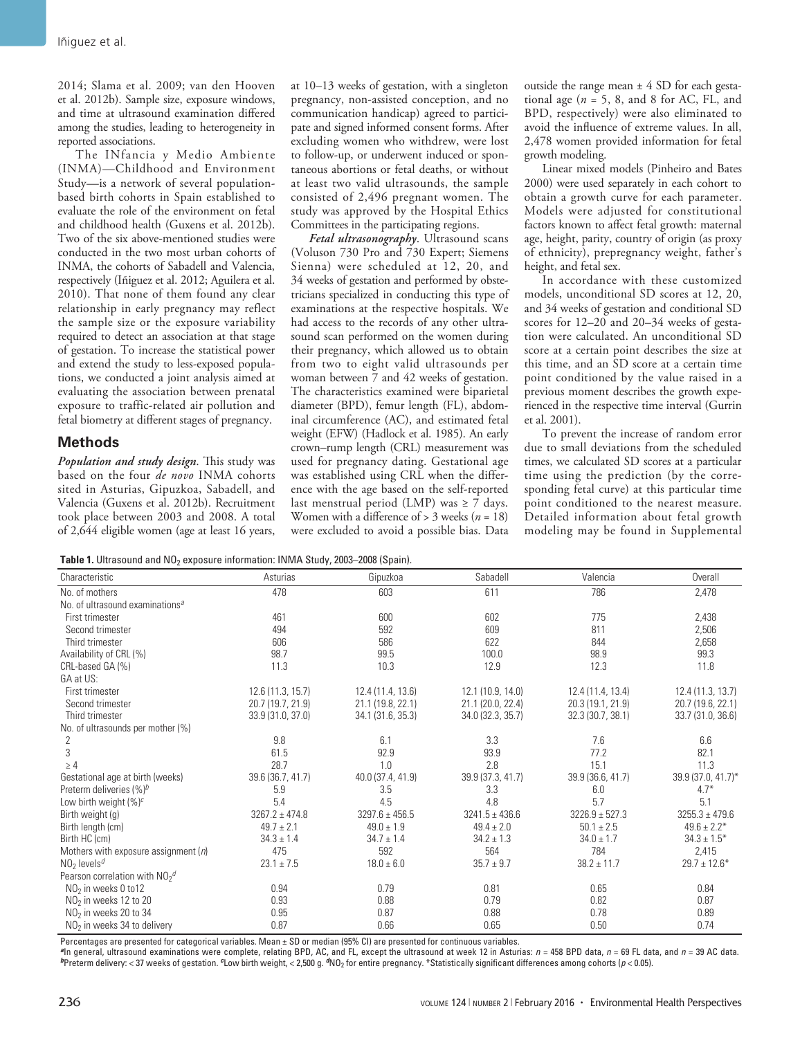2014; Slama et al. 2009; van den Hooven et al. 2012b). Sample size, exposure windows, and time at ultrasound examination differed among the studies, leading to heterogeneity in reported associations.

The INfancia y Medio Ambiente (INMA)—Childhood and Environment Study—is a network of several populationbased birth cohorts in Spain established to evaluate the role of the environment on fetal and childhood health (Guxens et al. 2012b). Two of the six above-mentioned studies were conducted in the two most urban cohorts of INMA, the cohorts of Sabadell and Valencia, respectively (Iñiguez et al. 2012; Aguilera et al. 2010). That none of them found any clear relationship in early pregnancy may reflect the sample size or the exposure variability required to detect an association at that stage of gestation. To increase the statistical power and extend the study to less-exposed populations, we conducted a joint analysis aimed at evaluating the association between prenatal exposure to traffic-related air pollution and fetal biometry at different stages of pregnancy.

# **Methods**

*Population and study design*. This study was based on the four *de novo* INMA cohorts sited in Asturias, Gipuzkoa, Sabadell, and Valencia (Guxens et al. 2012b). Recruitment took place between 2003 and 2008. A total of 2,644 eligible women (age at least 16 years,

at 10–13 weeks of gestation, with a singleton pregnancy, non-assisted conception, and no communication handicap) agreed to participate and signed informed consent forms. After excluding women who withdrew, were lost to follow-up, or underwent induced or spontaneous abortions or fetal deaths, or without at least two valid ultrasounds, the sample consisted of 2,496 pregnant women. The study was approved by the Hospital Ethics Committees in the participating regions.

*Fetal ultrasonography*. Ultrasound scans (Voluson 730 Pro and 730 Expert; Siemens Sienna) were scheduled at 12, 20, and 34 weeks of gestation and performed by obstetricians specialized in conducting this type of examinations at the respective hospitals. We had access to the records of any other ultrasound scan performed on the women during their pregnancy, which allowed us to obtain from two to eight valid ultrasounds per woman between 7 and 42 weeks of gestation. The characteristics examined were biparietal diameter (BPD), femur length (FL), abdominal circumference (AC), and estimated fetal weight (EFW) (Hadlock et al. 1985). An early crown–rump length (CRL) measurement was used for pregnancy dating. Gestational age was established using CRL when the difference with the age based on the self-reported last menstrual period (LMP) was  $\geq 7$  days. Women with a difference of > 3 weeks (*n* = 18) were excluded to avoid a possible bias. Data

outside the range mean  $\pm$  4 SD for each gestational age ( $n = 5$ , 8, and 8 for AC, FL, and BPD, respectively) were also eliminated to avoid the influence of extreme values. In all, 2,478 women provided information for fetal growth modeling.

Linear mixed models (Pinheiro and Bates 2000) were used separately in each cohort to obtain a growth curve for each parameter. Models were adjusted for constitutional factors known to affect fetal growth: maternal age, height, parity, country of origin (as proxy of ethnicity), prepregnancy weight, father's height, and fetal sex.

In accordance with these customized models, unconditional SD scores at 12, 20, and 34 weeks of gestation and conditional SD scores for 12–20 and 20–34 weeks of gestation were calculated. An unconditional SD score at a certain point describes the size at this time, and an SD score at a certain time point conditioned by the value raised in a previous moment describes the growth experienced in the respective time interval (Gurrin et al. 2001).

To prevent the increase of random error due to small deviations from the scheduled times, we calculated SD scores at a particular time using the prediction (by the corresponding fetal curve) at this particular time point conditioned to the nearest measure. Detailed information about fetal growth modeling may be found in Supplemental

Table 1. Ultrasound and NO<sub>2</sub> exposure information: INMA Study, 2003-2008 (Spain).

| Characteristic                              | Asturias           | Gipuzkoa           | Sabadell           | Valencia           | Overall            |
|---------------------------------------------|--------------------|--------------------|--------------------|--------------------|--------------------|
| No. of mothers                              | 478                | 603                | 611                | 786                | 2,478              |
| No. of ultrasound examinations <sup>a</sup> |                    |                    |                    |                    |                    |
| First trimester                             | 461                | 600                | 602                | 775                | 2,438              |
| Second trimester                            | 494                | 592                | 609                | 811                | 2,506              |
| Third trimester                             | 606                | 586                | 622                | 844                | 2,658              |
| Availability of CRL (%)                     | 98.7               | 99.5               | 100.0              | 98.9               | 99.3               |
| CRL-based GA (%)                            | 11.3               | 10.3               | 12.9               | 12.3               | 11.8               |
| GA at US:                                   |                    |                    |                    |                    |                    |
| First trimester                             | 12.6 (11.3, 15.7)  | 12.4 (11.4, 13.6)  | 12.1 (10.9, 14.0)  | 12.4 (11.4, 13.4)  | 12.4 (11.3, 13.7)  |
| Second trimester                            | 20.7 (19.7, 21.9)  | 21.1 (19.8, 22.1)  | 21.1 (20.0, 22.4)  | 20.3 (19.1, 21.9)  | 20.7 (19.6, 22.1)  |
| Third trimester                             | 33.9 (31.0, 37.0)  | 34.1 (31.6, 35.3)  | 34.0 (32.3, 35.7)  | 32.3 (30.7, 38.1)  | 33.7(31.0, 36.6)   |
| No. of ultrasounds per mother (%)           |                    |                    |                    |                    |                    |
| 2                                           | 9.8                | 6.1                | 3.3                | 7.6                | 6.6                |
| 3                                           | 61.5               | 92.9               | 93.9               | 77.2               | 82.1               |
| $\geq 4$                                    | 28.7               | 1.0                | 2.8                | 15.1               | 11.3               |
| Gestational age at birth (weeks)            | 39.6 (36.7, 41.7)  | 40.0 (37.4, 41.9)  | 39.9 (37.3, 41.7)  | 39.9 (36.6, 41.7)  | 39.9 (37.0, 41.7)* |
| Preterm deliveries $(\%)^b$                 | 5.9                | 3.5                | 3.3                | 6.0                | $4.7*$             |
| Low birth weight $(%)^c$                    | 5.4                | 4.5                | 4.8                | 5.7                | 5.1                |
| Birth weight (g)                            | $3267.2 \pm 474.8$ | $3297.6 \pm 456.5$ | $3241.5 \pm 436.6$ | $3226.9 \pm 527.3$ | $3255.3 \pm 479.6$ |
| Birth length (cm)                           | $49.7 + 2.1$       | $49.0 \pm 1.9$     | $49.4 \pm 2.0$     | $50.1 + 2.5$       | $49.6 \pm 2.2*$    |
| Birth HC (cm)                               | $34.3 \pm 1.4$     | $34.7 \pm 1.4$     | $34.2 \pm 1.3$     | $34.0 \pm 1.7$     | $34.3 \pm 1.5^*$   |
| Mothers with exposure assignment $(n)$      | 475                | 592                | 564                | 784                | 2,415              |
| $NO2$ levels <sup>d</sup>                   | $23.1 \pm 7.5$     | $18.0 \pm 6.0$     | $35.7 \pm 9.7$     | $38.2 \pm 11.7$    | $29.7 \pm 12.6*$   |
| Pearson correlation with $NO2$ <sup>d</sup> |                    |                    |                    |                    |                    |
| $NO2$ in weeks 0 to12                       | 0.94               | 0.79               | 0.81               | 0.65               | 0.84               |
| NO <sub>2</sub> in weeks 12 to 20           | 0.93               | 0.88               | 0.79               | 0.82               | 0.87               |
| $NO2$ in weeks 20 to 34                     | 0.95               | 0.87               | 0.88               | 0.78               | 0.89               |
| NO <sub>2</sub> in weeks 34 to delivery     | 0.87               | 0.66               | 0.65               | 0.50               | 0.74               |

Percentages are presented for categorical variables. Mean ± SD or median (95% CI) are presented for continuous variables.

*<sup>a</sup>*In general, ultrasound examinations were complete, relating BPD, AC, and FL, except the ultrasound at week 12 in Asturias: *n* = 458 BPD data, *n* = 69 FL data, and *n* = 39 AC data. *<sup>b</sup>*Preterm delivery: < 37 weeks of gestation. *c*Low birth weight, < 2,500 g. *<sup>d</sup>*NO2 for entire pregnancy. \*Statistically significant differences among cohorts (*p* < 0.05).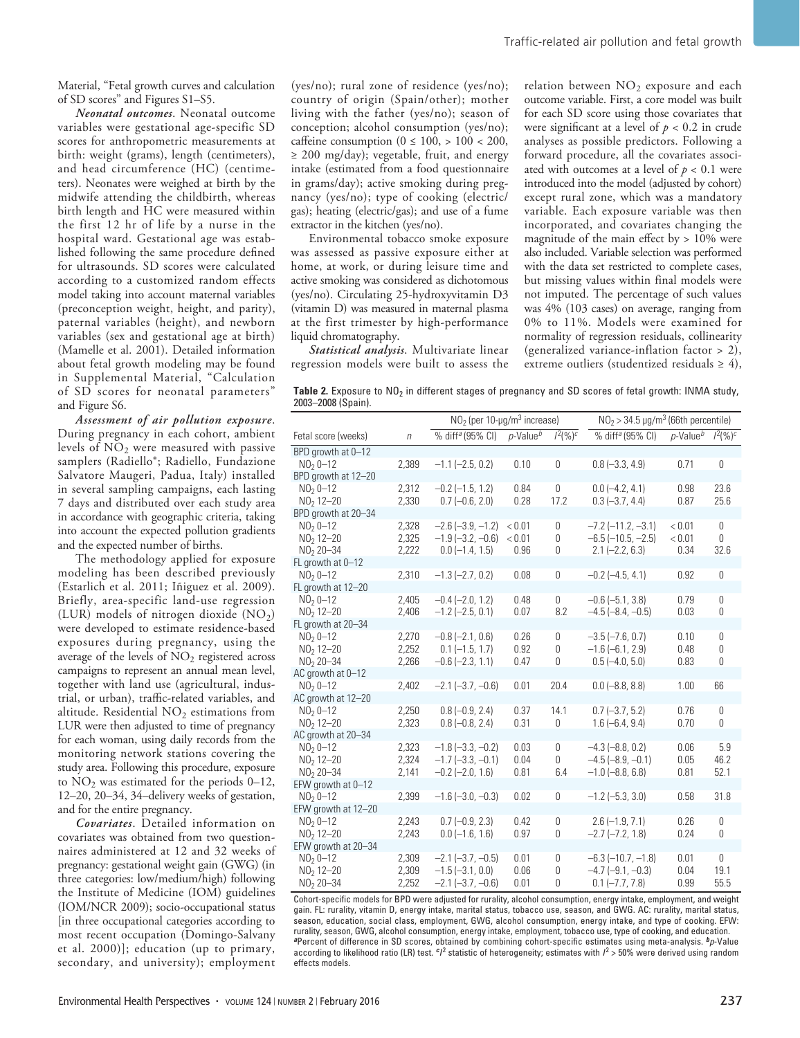Material, "Fetal growth curves and calculation of SD scores" and Figures S1–S5.

*Neonatal outcomes*. Neonatal outcome variables were gestational age-specific SD scores for anthropometric measurements at birth: weight (grams), length (centimeters), and head circumference (HC) (centimeters). Neonates were weighed at birth by the midwife attending the childbirth, whereas birth length and HC were measured within the first 12 hr of life by a nurse in the hospital ward. Gestational age was established following the same procedure defined for ultrasounds. SD scores were calculated according to a customized random effects model taking into account maternal variables (preconception weight, height, and parity), paternal variables (height), and newborn variables (sex and gestational age at birth) (Mamelle et al. 2001). Detailed information about fetal growth modeling may be found in Supplemental Material, "Calculation of SD scores for neonatal parameters" and Figure S6.

*Assessment of air pollution exposure*. During pregnancy in each cohort, ambient levels of NO2 were measured with passive samplers (Radiello®; Radiello, Fundazione Salvatore Maugeri, Padua, Italy) installed in several sampling campaigns, each lasting 7 days and distributed over each study area in accordance with geographic criteria, taking into account the expected pollution gradients and the expected number of births.

The methodology applied for exposure modeling has been described previously (Estarlich et al. 2011; Iñiguez et al. 2009). Briefly, area-specific land-use regression (LUR) models of nitrogen dioxide  $(NO<sub>2</sub>)$ were developed to estimate residence-based exposures during pregnancy, using the average of the levels of  $NO<sub>2</sub>$  registered across campaigns to represent an annual mean level, together with land use (agricultural, industrial, or urban), traffic-related variables, and altitude. Residential  $NO<sub>2</sub>$  estimations from LUR were then adjusted to time of pregnancy for each woman, using daily records from the monitoring network stations covering the study area. Following this procedure, exposure to  $NO<sub>2</sub>$  was estimated for the periods 0–12, 12–20, 20–34, 34–delivery weeks of gestation, and for the entire pregnancy.

*Covariates*. Detailed information on covariates was obtained from two questionnaires administered at 12 and 32 weeks of pregnancy: gestational weight gain (GWG) (in three categories: low/medium/high) following the Institute of Medicine (IOM) guidelines (IOM/NCR 2009); socio-occupational status [in three occupational categories according to most recent occupation (Domingo-Salvany et al. 2000)]; education (up to primary, secondary, and university); employment

(yes/no); rural zone of residence (yes/no); country of origin (Spain/other); mother living with the father (yes/no); season of conception; alcohol consumption (yes/no); caffeine consumption ( $0 \le 100$ ,  $> 100 < 200$ ,  $\geq$  200 mg/day); vegetable, fruit, and energy intake (estimated from a food questionnaire in grams/day); active smoking during pregnancy (yes/no); type of cooking (electric/ gas); heating (electric/gas); and use of a fume extractor in the kitchen (yes/no).

Environmental tobacco smoke exposure was assessed as passive exposure either at home, at work, or during leisure time and active smoking was considered as dichotomous (yes/no). Circulating 25-hydroxyvitamin D3 (vitamin D) was measured in maternal plasma at the first trimester by high-performance liquid chromatography.

*Statistical analysis*. Multivariate linear regression models were built to assess the

relation between  $NO<sub>2</sub>$  exposure and each outcome variable. First, a core model was built for each SD score using those covariates that were significant at a level of  $p < 0.2$  in crude analyses as possible predictors. Following a forward procedure, all the covariates associated with outcomes at a level of  $p < 0.1$  were introduced into the model (adjusted by cohort) except rural zone, which was a mandatory variable. Each exposure variable was then incorporated, and covariates changing the magnitude of the main effect by > 10% were also included. Variable selection was performed with the data set restricted to complete cases, but missing values within final models were not imputed. The percentage of such values was 4% (103 cases) on average, ranging from 0% to 11%. Models were examined for normality of regression residuals, collinearity (generalized variance-inflation factor > 2), extreme outliers (studentized residuals  $\geq 4$ ),

Table 2. Exposure to NO<sub>2</sub> in different stages of pregnancy and SD scores of fetal growth: INMA study, 2003–2008 (Spain).

|                                   |        | $NO2$ (per 10-µg/m <sup>3</sup> increase) |                |                  | $NO2$ > 34.5 µg/m <sup>3</sup> (66th percentile) |                |                |  |
|-----------------------------------|--------|-------------------------------------------|----------------|------------------|--------------------------------------------------|----------------|----------------|--|
| Fetal score (weeks)               | $\eta$ | % diff <sup>a</sup> (95% CI)              | $p$ -Value $b$ | $1^2(%)^c$       | % diff <sup>a</sup> (95% CI)                     | $p$ -Value $b$ | $1^2(%)^c$     |  |
| BPD growth at 0-12                |        |                                           |                |                  |                                                  |                |                |  |
| $NO2 0 - 12$                      | 2,389  | $-1.1$ $(-2.5, 0.2)$                      | 0.10           | 0                | $0.8 (-3.3, 4.9)$                                | 0.71           | 0              |  |
| BPD growth at 12-20               |        |                                           |                |                  |                                                  |                |                |  |
| $N02 0 - 12$                      | 2,312  | $-0.2$ $(-1.5, 1.2)$                      | 0.84           | $\boldsymbol{0}$ | $0.0$ (-4.2, 4.1)                                | 0.98           | 23.6           |  |
| $NO2 12 - 20$                     | 2,330  | $0.7 (-0.6, 2.0)$                         | 0.28           | 17.2             | $0.3 (-3.7, 4.4)$                                | 0.87           | 25.6           |  |
| BPD growth at 20-34               |        |                                           |                |                  |                                                  |                |                |  |
| $NO2 0-12$                        | 2,328  | $-2.6$ $(-3.9, -1.2)$                     | < 0.01         | 0                | $-7.2$ $(-11.2, -3.1)$                           | < 0.01         | $\theta$       |  |
| $NO2 12-20$                       | 2,325  | $-1.9$ ( $-3.2$ , $-0.6$ )                | < 0.01         | 0                | $-6.5$ ( $-10.5$ , $-2.5$ )                      | < 0.01         | $\theta$       |  |
| $NO2 20 - 34$                     | 2,222  | $0.0$ (-1.4, 1.5)                         | 0.96           | 0                | $2.1 (-2.2, 6.3)$                                | 0.34           | 32.6           |  |
| FL growth at 0-12                 |        |                                           |                |                  |                                                  |                |                |  |
| $NO2 0-12$                        | 2,310  | $-1.3$ $(-2.7, 0.2)$                      | 0.08           | $\boldsymbol{0}$ | $-0.2$ ( $-4.5, 4.1$ )                           | 0.92           | 0              |  |
| FL growth at 12-20                |        |                                           |                |                  |                                                  |                |                |  |
| $NO2 0-12$                        | 2,405  | $-0.4$ $(-2.0, 1.2)$                      | 0.48           | 0                | $-0.6$ ( $-5.1$ , 3.8)                           | 0.79           | $\mathbf{0}$   |  |
| $NO2 12-20$                       | 2,406  | $-1.2$ ( $-2.5$ , 0.1)                    | 0.07           | 8.2              | $-4.5$ $(-8.4, -0.5)$                            | 0.03           | 0              |  |
| FL growth at 20-34                |        |                                           |                |                  |                                                  |                |                |  |
| $N02 0 - 12$                      | 2,270  | $-0.8$ $(-2.1, 0.6)$                      | 0.26           | 0                | $-3.5$ $(-7.6, 0.7)$                             | 0.10           | $\overline{0}$ |  |
| $NO2 12-20$                       | 2,252  | $0.1$ (-1.5, 1.7)                         | 0.92           | 0                | $-1.6(-6.1, 2.9)$                                | 0.48           | 0              |  |
| NO <sub>2</sub> 20-34             | 2,266  | $-0.6$ $(-2.3, 1.1)$                      | 0.47           | 0                | $0.5(-4.0, 5.0)$                                 | 0.83           | 0              |  |
| AC growth at 0-12                 |        |                                           |                |                  |                                                  |                |                |  |
| $NO2 0-12$                        | 2,402  | $-2.1$ $(-3.7, -0.6)$                     | 0.01           | 20.4             | $0.0$ (-8.8, 8.8)                                | 1.00           | 66             |  |
| AC growth at 12-20                |        |                                           |                |                  |                                                  |                |                |  |
| $NO2 0-12$                        | 2,250  | $0.8(-0.9, 2.4)$                          | 0.37           | 14.1             | $0.7 (-3.7, 5.2)$                                | 0.76           | 0              |  |
| $NO2 12-20$                       | 2,323  | $0.8(-0.8, 2.4)$                          | 0.31           | $\boldsymbol{0}$ | $1.6(-6.4, 9.4)$                                 | 0.70           | $\theta$       |  |
| AC growth at 20-34                |        |                                           |                |                  |                                                  |                |                |  |
| $N02 0 - 12$                      | 2,323  | $-1.8$ $(-3.3, -0.2)$                     | 0.03           | 0                | $-4.3$ $(-8.8, 0.2)$                             | 0.06           | 5.9            |  |
| $NO2 12-20$                       | 2,324  | $-1.7$ $(-3.3, -0.1)$                     | 0.04           | 0                | $-4.5$ ( $-8.9$ , $-0.1$ )                       | 0.05           | 46.2           |  |
| $NO2 20 - 34$                     | 2,141  | $-0.2$ ( $-2.0$ , 1.6)                    | 0.81           | 6.4              | $-1.0$ ( $-8.8$ , 6.8)                           | 0.81           | 52.1           |  |
| EFW growth at 0-12                |        | $-1.6$ ( $-3.0$ , $-0.3$ )                | 0.02           | 0                | $-1.2$ ( $-5.3$ , 3.0)                           | 0.58           | 31.8           |  |
| $NO2 0-12$<br>EFW growth at 12-20 | 2,399  |                                           |                |                  |                                                  |                |                |  |
| $NO2 0-12$                        | 2,243  | $0.7 (-0.9, 2.3)$                         | 0.42           | 0                | $2.6(-1.9, 7.1)$                                 | 0.26           | 0              |  |
| $NO2 12 - 20$                     | 2,243  | $0.0$ (-1.6, 1.6)                         | 0.97           | 0                | $-2.7$ $(-7.2, 1.8)$                             | 0.24           | $\mathbf{0}$   |  |
| EFW growth at 20-34               |        |                                           |                |                  |                                                  |                |                |  |
| $NO2 0-12$                        | 2,309  | $-2.1$ $(-3.7, -0.5)$                     | 0.01           | 0                | $-6.3$ $(-10.7, -1.8)$                           | 0.01           | 0              |  |
| $NO2 12-20$                       | 2,309  | $-1.5(-3.1, 0.0)$                         | 0.06           | 0                | $-4.7$ $(-9.1, -0.3)$                            | 0.04           | 19.1           |  |
| $NO2 20 - 34$                     | 2,252  | $-2.1$ $(-3.7, -0.6)$                     | 0.01           | 0                | $0.1$ ( $-7.7$ , $7.8$ )                         | 0.99           | 55.5           |  |
|                                   |        |                                           |                |                  |                                                  |                |                |  |

Cohort-specific models for BPD were adjusted for rurality, alcohol consumption, energy intake, employment, and weight gain. FL: rurality, vitamin D, energy intake, marital status, tobacco use, season, and GWG. AC: rurality, marital status, season, education, social class, employment, GWG, alcohol consumption, energy intake, and type of cooking. EFW: rurality, season, GWG, alcohol consumption, energy intake, employment, tobacco use, type of cooking, and education. <sup>a</sup>Percent of difference in SD scores, obtained by combining cohort-specific estimates using meta-analysis. <sup>b</sup>p-Value<br>according to likelihood ratio (LR) test. <sup>e</sup>f<sup>2</sup> statistic of heterogeneity; estimates with f<sup>2</sup> > 50% effects models.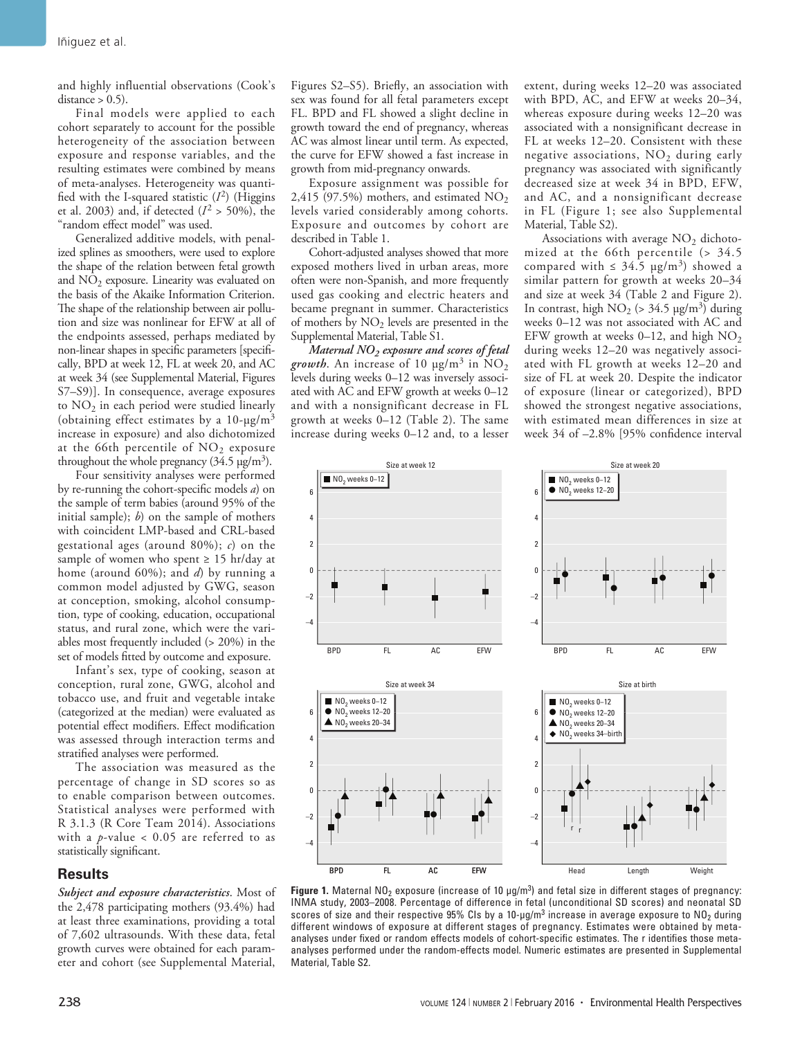and highly influential observations (Cook's  $distance > 0.5$ ).

Final models were applied to each cohort separately to account for the possible heterogeneity of the association between exposure and response variables, and the resulting estimates were combined by means of meta-analyses. Heterogeneity was quantified with the I-squared statistic  $(I^2)$  (Higgins et al. 2003) and, if detected  $(I^2 > 50\%)$ , the "random effect model" was used.

Generalized additive models, with penalized splines as smoothers, were used to explore the shape of the relation between fetal growth and  $NO<sub>2</sub>$  exposure. Linearity was evaluated on the basis of the Akaike Information Criterion. The shape of the relationship between air pollution and size was nonlinear for EFW at all of the endpoints assessed, perhaps mediated by non-linear shapes in specific parameters [specifically, BPD at week 12, FL at week 20, and AC at week 34 (see Supplemental Material, Figures S7–S9)]. In consequence, average exposures to  $NO<sub>2</sub>$  in each period were studied linearly (obtaining effect estimates by a  $10$ - $\mu$ g/m<sup>3</sup> increase in exposure) and also dichotomized at the 66th percentile of  $NO<sub>2</sub>$  exposure throughout the whole pregnancy  $(34.5 \,\mathrm{µg/m^3})$ .

Four sensitivity analyses were performed by re-running the cohort-specific models *a*) on the sample of term babies (around 95% of the initial sample); *b*) on the sample of mothers with coincident LMP-based and CRL-based gestational ages (around 80%); *c*) on the sample of women who spent  $\geq 15$  hr/day at home (around 60%); and *d*) by running a common model adjusted by GWG, season at conception, smoking, alcohol consumption, type of cooking, education, occupational status, and rural zone, which were the variables most frequently included (> 20%) in the set of models fitted by outcome and exposure.

Infant's sex, type of cooking, season at conception, rural zone, GWG, alcohol and tobacco use, and fruit and vegetable intake (categorized at the median) were evaluated as potential effect modifiers. Effect modification was assessed through interaction terms and stratified analyses were performed.

The association was measured as the percentage of change in SD scores so as to enable comparison between outcomes. Statistical analyses were performed with R 3.1.3 (R Core Team 2014). Associations with a *p*-value < 0.05 are referred to as statistically significant.

### **Results**

*Subject and exposure characteristics*. Most of the 2,478 participating mothers (93.4%) had at least three examinations, providing a total of 7,602 ultrasounds. With these data, fetal growth curves were obtained for each parameter and cohort (see Supplemental Material,

Figures S2–S5). Briefly, an association with sex was found for all fetal parameters except FL. BPD and FL showed a slight decline in growth toward the end of pregnancy, whereas AC was almost linear until term. As expected, the curve for EFW showed a fast increase in growth from mid-pregnancy onwards.

Exposure assignment was possible for 2,415 (97.5%) mothers, and estimated  $NO<sub>2</sub>$ levels varied considerably among cohorts. Exposure and outcomes by cohort are described in Table 1.

Cohort-adjusted analyses showed that more exposed mothers lived in urban areas, more often were non-Spanish, and more frequently used gas cooking and electric heaters and became pregnant in summer. Characteristics of mothers by  $NO<sub>2</sub>$  levels are presented in the Supplemental Material, Table S1.

*Maternal NO2 exposure and scores of fetal growth*. An increase of 10  $\mu$ g/m<sup>3</sup> in NO<sub>2</sub> levels during weeks 0–12 was inversely associated with AC and EFW growth at weeks 0–12 and with a nonsignificant decrease in FL growth at weeks 0–12 (Table 2). The same increase during weeks 0–12 and, to a lesser

extent, during weeks 12–20 was associated with BPD, AC, and EFW at weeks 20–34, whereas exposure during weeks 12–20 was associated with a nonsignificant decrease in FL at weeks 12–20. Consistent with these negative associations,  $NO<sub>2</sub>$  during early pregnancy was associated with significantly decreased size at week 34 in BPD, EFW, and AC, and a nonsignificant decrease in FL (Figure 1; see also Supplemental Material, Table S2).

Associations with average  $NO<sub>2</sub>$  dichotomized at the 66th percentile (> 34.5 compared with  $\leq 34.5 \text{ µg/m}^3$ ) showed a similar pattern for growth at weeks 20–34 and size at week 34 (Table 2 and Figure 2). In contrast, high  $NO_2$  (> 34.5  $\mu$ g/m<sup>3</sup>) during weeks 0–12 was not associated with AC and EFW growth at weeks 0–12, and high  $NO<sub>2</sub>$ during weeks 12–20 was negatively associated with FL growth at weeks 12–20 and size of FL at week 20. Despite the indicator of exposure (linear or categorized), BPD showed the strongest negative associations, with estimated mean differences in size at week 34 of –2.8% [95% confidence interval



**Figure 1.** Maternal NO<sub>2</sub> exposure (increase of 10  $\mu$ g/m<sup>3</sup>) and fetal size in different stages of pregnancy: INMA study, 2003–2008. Percentage of difference in fetal (unconditional SD scores) and neonatal SD scores of size and their respective 95% CIs by a 10-µg/m $^3$  increase in average exposure to NO<sub>2</sub> during different windows of exposure at different stages of pregnancy. Estimates were obtained by metaanalyses under fixed or random effects models of cohort-specific estimates. The r identifies those metaanalyses performed under the random-effects model. Numeric estimates are presented in Supplemental Material, Table S2.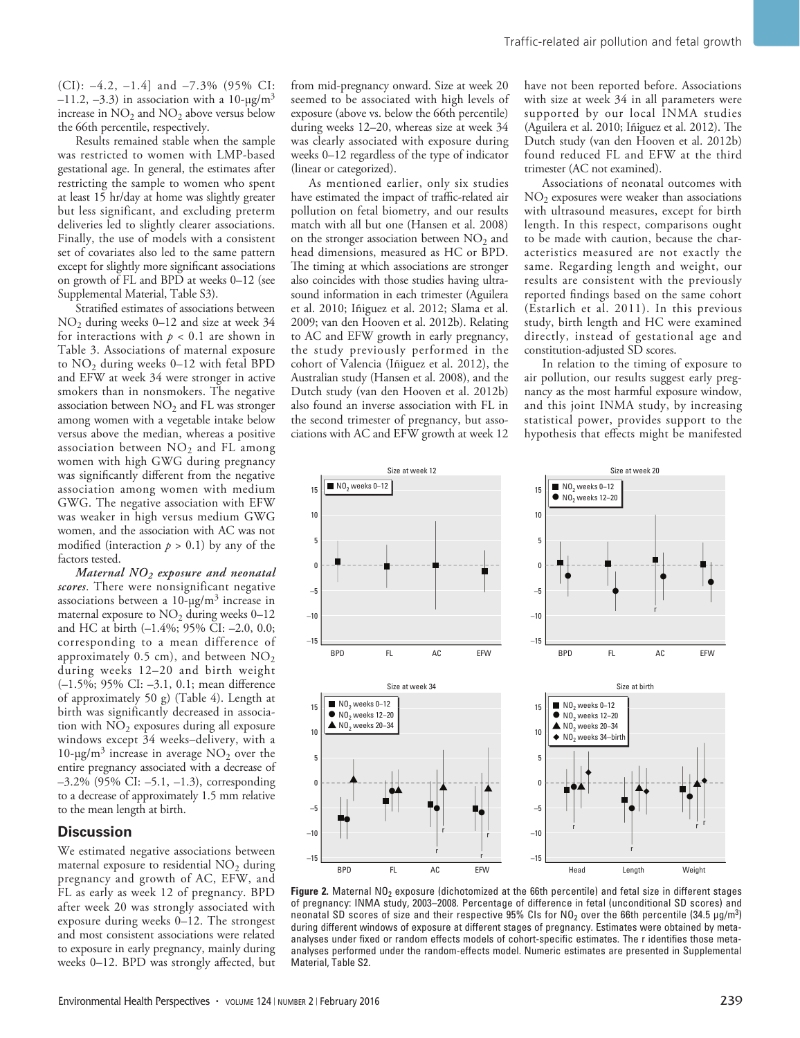(CI): –4.2, –1.4] and –7.3% (95% CI: –11.2, –3.3) in association with a 10-μg/m<sup>3</sup> increase in  $NO<sub>2</sub>$  and  $NO<sub>2</sub>$  above versus below the 66th percentile, respectively.

Results remained stable when the sample was restricted to women with LMP-based gestational age. In general, the estimates after restricting the sample to women who spent at least 15 hr/day at home was slightly greater but less significant, and excluding preterm deliveries led to slightly clearer associations. Finally, the use of models with a consistent set of covariates also led to the same pattern except for slightly more significant associations on growth of FL and BPD at weeks 0–12 (see Supplemental Material, Table S3).

Stratified estimates of associations between NO2 during weeks 0–12 and size at week 34 for interactions with  $p < 0.1$  are shown in Table 3. Associations of maternal exposure to  $NO<sub>2</sub>$  during weeks 0–12 with fetal BPD and EFW at week 34 were stronger in active smokers than in nonsmokers. The negative association between  $NO<sub>2</sub>$  and FL was stronger among women with a vegetable intake below versus above the median, whereas a positive association between  $NO<sub>2</sub>$  and FL among women with high GWG during pregnancy was significantly different from the negative association among women with medium GWG. The negative association with EFW was weaker in high versus medium GWG women, and the association with AC was not modified (interaction  $p > 0.1$ ) by any of the factors tested.

*Maternal NO2 exposure and neonatal scores*. There were nonsignificant negative associations between a  $10$ -μg/m<sup>3</sup> increase in maternal exposure to  $NO<sub>2</sub>$  during weeks 0–12 and HC at birth (–1.4%; 95% CI: –2.0, 0.0; corresponding to a mean difference of approximately 0.5 cm), and between  $NO<sub>2</sub>$ during weeks 12–20 and birth weight (–1.5%; 95% CI: –3.1, 0.1; mean difference of approximately 50 g) (Table 4). Length at birth was significantly decreased in association with  $NO<sub>2</sub>$  exposures during all exposure windows except 34 weeks–delivery, with a  $10$ -μg/m<sup>3</sup> increase in average NO<sub>2</sub> over the entire pregnancy associated with a decrease of –3.2% (95% CI: –5.1, –1.3), corresponding to a decrease of approximately 1.5 mm relative to the mean length at birth.

### **Discussion**

We estimated negative associations between maternal exposure to residential  $NO<sub>2</sub>$  during pregnancy and growth of AC, EFW, and FL as early as week 12 of pregnancy. BPD after week 20 was strongly associated with exposure during weeks 0–12. The strongest and most consistent associations were related to exposure in early pregnancy, mainly during weeks 0–12. BPD was strongly affected, but from mid-pregnancy onward. Size at week 20 seemed to be associated with high levels of exposure (above vs. below the 66th percentile) during weeks 12–20, whereas size at week 34 was clearly associated with exposure during weeks 0–12 regardless of the type of indicator (linear or categorized).

As mentioned earlier, only six studies have estimated the impact of traffic-related air pollution on fetal biometry, and our results match with all but one (Hansen et al. 2008) on the stronger association between  $NO<sub>2</sub>$  and head dimensions, measured as HC or BPD. The timing at which associations are stronger also coincides with those studies having ultrasound information in each trimester (Aguilera et al. 2010; Iñiguez et al. 2012; Slama et al. 2009; van den Hooven et al. 2012b). Relating to AC and EFW growth in early pregnancy, the study previously performed in the cohort of Valencia (Iñiguez et al. 2012), the Australian study (Hansen et al. 2008), and the Dutch study (van den Hooven et al. 2012b) also found an inverse association with FL in the second trimester of pregnancy, but associations with AC and EFW growth at week 12 have not been reported before. Associations with size at week 34 in all parameters were supported by our local INMA studies (Aguilera et al. 2010; Iñiguez et al. 2012). The Dutch study (van den Hooven et al. 2012b) found reduced FL and EFW at the third trimester (AC not examined).

Associations of neonatal outcomes with  $NO<sub>2</sub>$  exposures were weaker than associations with ultrasound measures, except for birth length. In this respect, comparisons ought to be made with caution, because the characteristics measured are not exactly the same. Regarding length and weight, our results are consistent with the previously reported findings based on the same cohort (Estarlich et al. 2011). In this previous study, birth length and HC were examined directly, instead of gestational age and constitution-adjusted SD scores.

In relation to the timing of exposure to air pollution, our results suggest early pregnancy as the most harmful exposure window, and this joint INMA study, by increasing statistical power, provides support to the hypothesis that effects might be manifested



Figure 2. Maternal NO<sub>2</sub> exposure (dichotomized at the 66th percentile) and fetal size in different stages of pregnancy: INMA study, 2003–2008. Percentage of difference in fetal (unconditional SD scores) and neonatal SD scores of size and their respective 95% CIs for NO<sub>2</sub> over the 66th percentile (34.5 μg/m<sup>3</sup>) during different windows of exposure at different stages of pregnancy. Estimates were obtained by metaanalyses under fixed or random effects models of cohort-specific estimates. The r identifies those metaanalyses performed under the random-effects model. Numeric estimates are presented in Supplemental Material, Table S2.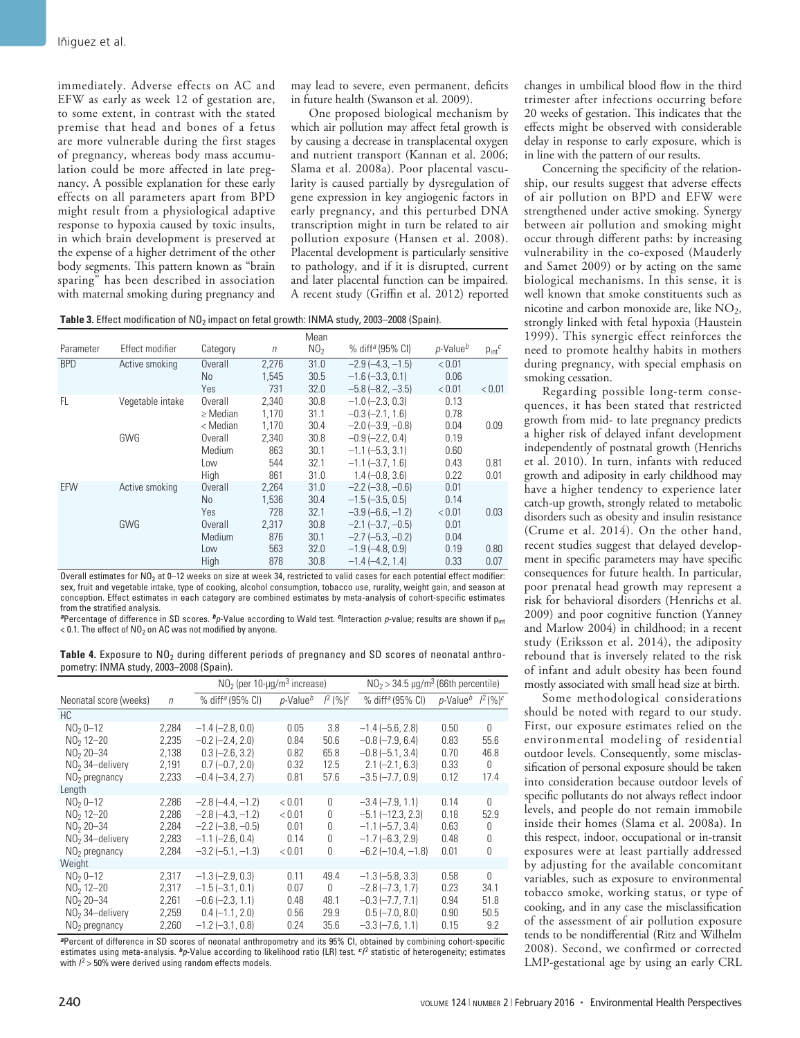immediately. Adverse effects on AC and EFW as early as week 12 of gestation are, to some extent, in contrast with the stated premise that head and bones of a fetus are more vulnerable during the first stages of pregnancy, whereas body mass accumulation could be more affected in late pregnancy. A possible explanation for these early effects on all parameters apart from BPD might result from a physiological adaptive response to hypoxia caused by toxic insults, in which brain development is preserved at the expense of a higher detriment of the other body segments. This pattern known as "brain sparing" has been described in association with maternal smoking during pregnancy and

may lead to severe, even permanent, deficits in future health (Swanson et al. 2009).

One proposed biological mechanism by which air pollution may affect fetal growth is by causing a decrease in transplacental oxygen and nutrient transport (Kannan et al. 2006; Slama et al. 2008a). Poor placental vascularity is caused partially by dysregulation of gene expression in key angiogenic factors in early pregnancy, and this perturbed DNA transcription might in turn be related to air pollution exposure (Hansen et al. 2008). Placental development is particularly sensitive to pathology, and if it is disrupted, current and later placental function can be impaired. A recent study (Griffin et al. 2012) reported

Table 3. Effect modification of NO<sub>2</sub> impact on fetal growth: INMA study, 2003-2008 (Spain).

|            |                  |                |        | Mean            |                              |                      |                 |
|------------|------------------|----------------|--------|-----------------|------------------------------|----------------------|-----------------|
| Parameter  | Effect modifier  | Category       | $\eta$ | NO <sub>2</sub> | % diff <sup>a</sup> (95% CI) | p-Value <sup>b</sup> | $p_{int}^{\,c}$ |
| <b>BPD</b> | Active smoking   | Overall        | 2,276  | 31.0            | $-2.9$ $(-4.3, -1.5)$        | < 0.01               |                 |
|            |                  | N <sub>0</sub> | 1.545  | 30.5            | $-1.6$ $(-3.3, 0.1)$         | 0.06                 |                 |
|            |                  | Yes            | 731    | 32.0            | $-5.8$ $(-8.2, -3.5)$        | < 0.01               | < 0.01          |
| FL.        | Vegetable intake | Overall        | 2.340  | 30.8            | $-1.0$ $(-2.3, 0.3)$         | 0.13                 |                 |
|            |                  | $\geq$ Median  | 1.170  | 31.1            | $-0.3$ $(-2.1, 1.6)$         | 0.78                 |                 |
|            |                  | < Median       | 1,170  | 30.4            | $-2.0$ $(-3.9, -0.8)$        | 0.04                 | 0.09            |
|            | GWG              | Overall        | 2.340  | 30.8            | $-0.9$ $(-2.2, 0.4)$         | 0.19                 |                 |
|            |                  | Medium         | 863    | 30.1            | $-1.1$ $(-5.3, 3.1)$         | 0.60                 |                 |
|            |                  | Low            | 544    | 32.1            | $-1.1$ $(-3.7, 1.6)$         | 0.43                 | 0.81            |
|            |                  | High           | 861    | 31.0            | $1.4 (-0.8, 3.6)$            | 0.22                 | 0.01            |
| EFW        | Active smoking   | Overall        | 2.264  | 31.0            | $-2.2$ ( $-3.8$ , $-0.6$ )   | 0.01                 |                 |
|            |                  | N <sub>0</sub> | 1.536  | 30.4            | $-1.5$ $(-3.5, 0.5)$         | 0.14                 |                 |
|            |                  | Yes            | 728    | 32.1            | $-3.9$ $(-6.6, -1.2)$        | < 0.01               | 0.03            |
|            | GWG              | Overall        | 2.317  | 30.8            | $-2.1$ $(-3.7, -0.5)$        | 0.01                 |                 |
|            |                  | Medium         | 876    | 30.1            | $-2.7$ $(-5.3, -0.2)$        | 0.04                 |                 |
|            |                  | Low            | 563    | 32.0            | $-1.9$ ( $-4.8$ , 0.9)       | 0.19                 | 0.80            |
|            |                  | High           | 878    | 30.8            | $-1.4(-4.2.1.4)$             | 0.33                 | 0.07            |

Overall estimates for NO<sub>2</sub> at 0–12 weeks on size at week 34, restricted to valid cases for each potential effect modifier: sex, fruit and vegetable intake, type of cooking, alcohol consumption, tobacco use, rurality, weight gain, and season at conception. Effect estimates in each category are combined estimates by meta-analysis of cohort-specific estimates from the stratified analysis.

*<sup>a</sup>*Percentage of difference in SD scores. *bp*-Value according to Wald test. *c*Interaction *p*-value; results are shown if pint  $<$  0.1. The effect of NO<sub>2</sub> on AC was not modified by anyone.

Table 4. Exposure to NO<sub>2</sub> during different periods of pregnancy and SD scores of neonatal anthropometry: INMA study, 2003–2008 (Spain).

|                        |        | $NO2$ (per 10-µg/m <sup>3</sup> increase) |                 |              | $NO2$ > 34.5 µg/m <sup>3</sup> (66th percentile) |                                             |          |  |
|------------------------|--------|-------------------------------------------|-----------------|--------------|--------------------------------------------------|---------------------------------------------|----------|--|
| Neonatal score (weeks) | $\eta$ | % diff <sup>a</sup> (95% CI)              | $p$ -Value $^b$ | $1^2 (96)^c$ | % diff <sup>a</sup> (95% CI)                     | p-Value <sup>b</sup> $l^2$ (%) <sup>c</sup> |          |  |
| HC.                    |        |                                           |                 |              |                                                  |                                             |          |  |
| $NO2 0-12$             | 2.284  | $-1.4$ ( $-2.8$ , 0.0)                    | 0.05            | 3.8          | $-1.4$ ( $-5.6$ , 2.8)                           | 0.50                                        | 0        |  |
| $NO2 12 - 20$          | 2,235  | $-0.2$ ( $-2.4$ , 2.0)                    | 0.84            | 50.6         | $-0.8$ ( $-7.9$ , 6.4)                           | 0.83                                        | 55.6     |  |
| $NO2 20 - 34$          | 2,138  | $0.3$ (-2.6, 3.2)                         | 0.82            | 65.8         | $-0.8$ ( $-5.1$ , 3.4)                           | 0.70                                        | 46.8     |  |
| $NO2$ 34-delivery      | 2,191  | $0.7 (-0.7, 2.0)$                         | 0.32            | 12.5         | $2.1 (-2.1, 6.3)$                                | 0.33                                        | 0        |  |
| $NO2$ pregnancy        | 2,233  | $-0.4$ $(-3.4, 2.7)$                      | 0.81            | 57.6         | $-3.5(-7.7, 0.9)$                                | 0.12                                        | 17.4     |  |
| Length                 |        |                                           |                 |              |                                                  |                                             |          |  |
| $N020-12$              | 2,286  | $-2.8(-4.4, -1.2)$                        | < 0.01          | 0            | $-3.4(-7.9, 1.1)$                                | 0.14                                        | $\theta$ |  |
| $NO2 12 - 20$          | 2,286  | $-2.8$ $(-4.3, -1.2)$                     | < 0.01          | $\Omega$     | $-5.1$ $(-12.3, 2.3)$                            | 0.18                                        | 52.9     |  |
| $NO2 20 - 34$          | 2,284  | $-2.2$ ( $-3.8, -0.5$ )                   | 0.01            | 0            | $-1.1$ ( $-5.7$ , 3.4)                           | 0.63                                        | 0        |  |
| $NO2$ 34-delivery      | 2.283  | $-1.1$ ( $-2.6$ , 0.4)                    | 0.14            | $\Omega$     | $-1.7$ ( $-6.3$ , 2.9)                           | 0.48                                        | 0        |  |
| $NO2$ pregnancy        | 2,284  | $-3.2$ ( $-5.1$ , $-1.3$ )                | < 0.01          | 0            | $-6.2$ ( $-10.4$ , $-1.8$ )                      | 0.01                                        | 0        |  |
| Weight                 |        |                                           |                 |              |                                                  |                                             |          |  |
| $NO2 0-12$             | 2.317  | $-1.3$ $(-2.9, 0.3)$                      | 0.11            | 49.4         | $-1.3$ ( $-5.8$ , 3.3)                           | 0.58                                        | $\theta$ |  |
| $NO2 12 - 20$          | 2,317  | $-1.5(-3.1, 0.1)$                         | 0.07            | 0            | $-2.8(-7.3, 1.7)$                                | 0.23                                        | 34.1     |  |
| $NO2 20 - 34$          | 2,261  | $-0.6$ $(-2.3, 1.1)$                      | 0.48            | 48.1         | $-0.3$ ( $-7.7$ , $7.1$ )                        | 0.94                                        | 51.8     |  |
| $NO2$ 34-delivery      | 2,259  | $0.4 (-1.1, 2.0)$                         | 0.56            | 29.9         | $0.5 (-7.0, 8.0)$                                | 0.90                                        | 50.5     |  |
| $NO2$ pregnancy        | 2,260  | $-1.2$ $(-3.1, 0.8)$                      | 0.24            | 35.6         | $-3.3$ ( $-7.6$ , 1.1)                           | 0.15                                        | 9.2      |  |

*<sup>a</sup>*Percent of difference in SD scores of neonatal anthropometry and its 95% CI, obtained by combining cohort-specific estimates using meta-analysis. *bp*-Value according to likelihood ratio (LR) test. *cI* <sup>2</sup> statistic of heterogeneity; estimates with  $l^2$  > 50% were derived using random effects models.

changes in umbilical blood flow in the third trimester after infections occurring before 20 weeks of gestation. This indicates that the effects might be observed with considerable delay in response to early exposure, which is in line with the pattern of our results.

Concerning the specificity of the relationship, our results suggest that adverse effects of air pollution on BPD and EFW were strengthened under active smoking. Synergy between air pollution and smoking might occur through different paths: by increasing vulnerability in the co-exposed (Mauderly and Samet 2009) or by acting on the same biological mechanisms. In this sense, it is well known that smoke constituents such as nicotine and carbon monoxide are, like  $NO<sub>2</sub>$ , strongly linked with fetal hypoxia (Haustein 1999). This synergic effect reinforces the need to promote healthy habits in mothers during pregnancy, with special emphasis on smoking cessation.

Regarding possible long-term consequences, it has been stated that restricted growth from mid- to late pregnancy predicts a higher risk of delayed infant development independently of postnatal growth (Henrichs et al. 2010). In turn, infants with reduced growth and adiposity in early childhood may have a higher tendency to experience later catch-up growth, strongly related to metabolic disorders such as obesity and insulin resistance (Crume et al. 2014). On the other hand, recent studies suggest that delayed development in specific parameters may have specific consequences for future health. In particular, poor prenatal head growth may represent a risk for behavioral disorders (Henrichs et al. 2009) and poor cognitive function (Yanney and Marlow 2004) in childhood; in a recent study (Eriksson et al. 2014), the adiposity rebound that is inversely related to the risk of infant and adult obesity has been found mostly associated with small head size at birth.

Some methodological considerations should be noted with regard to our study. First, our exposure estimates relied on the environmental modeling of residential outdoor levels. Consequently, some misclassification of personal exposure should be taken into consideration because outdoor levels of specific pollutants do not always reflect indoor levels, and people do not remain immobile inside their homes (Slama et al. 2008a). In this respect, indoor, occupational or in-transit exposures were at least partially addressed by adjusting for the available concomitant variables, such as exposure to environmental tobacco smoke, working status, or type of cooking, and in any case the misclassification of the assessment of air pollution exposure tends to be nondifferential (Ritz and Wilhelm 2008). Second, we confirmed or corrected LMP-gestational age by using an early CRL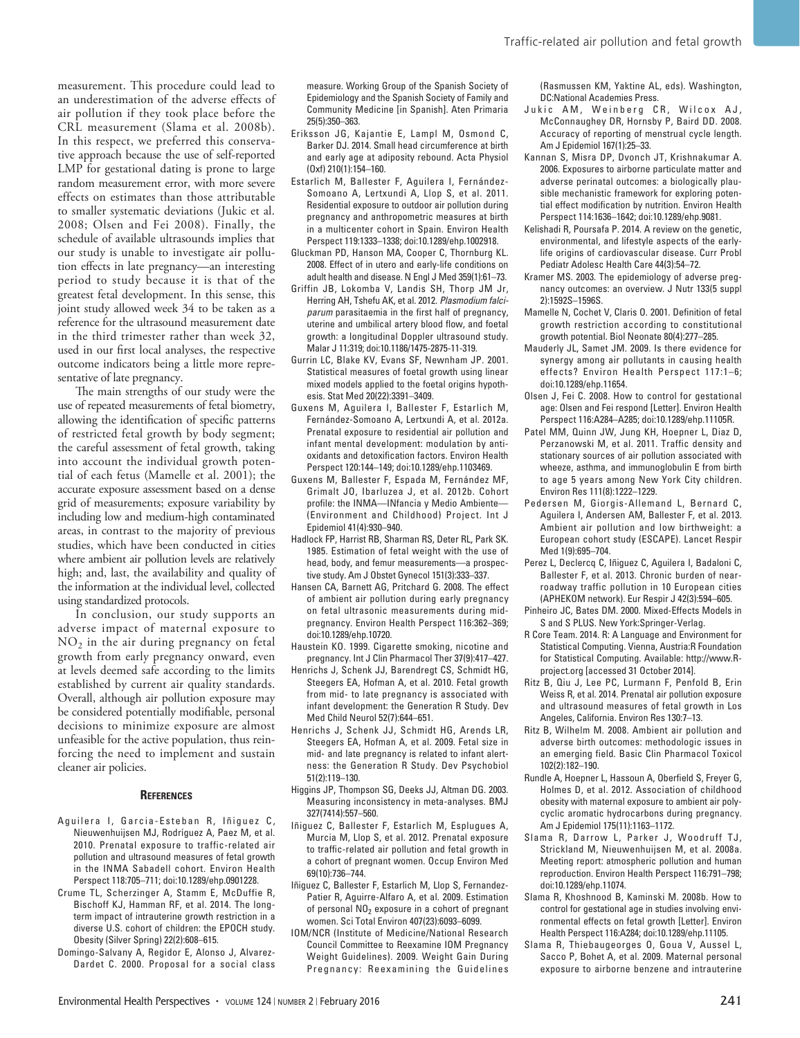measurement. This procedure could lead to an underestimation of the adverse effects of air pollution if they took place before the CRL measurement (Slama et al. 2008b). In this respect, we preferred this conservative approach because the use of self-reported LMP for gestational dating is prone to large random measurement error, with more severe effects on estimates than those attributable to smaller systematic deviations (Jukic et al. 2008; Olsen and Fei 2008). Finally, the schedule of available ultrasounds implies that our study is unable to investigate air pollution effects in late pregnancy—an interesting period to study because it is that of the greatest fetal development. In this sense, this joint study allowed week 34 to be taken as a reference for the ultrasound measurement date in the third trimester rather than week 32, used in our first local analyses, the respective outcome indicators being a little more representative of late pregnancy.

The main strengths of our study were the use of repeated measurements of fetal biometry, allowing the identification of specific patterns of restricted fetal growth by body segment; the careful assessment of fetal growth, taking into account the individual growth potential of each fetus (Mamelle et al. 2001); the accurate exposure assessment based on a dense grid of measurements; exposure variability by including low and medium-high contaminated areas, in contrast to the majority of previous studies, which have been conducted in cities where ambient air pollution levels are relatively high; and, last, the availability and quality of the information at the individual level, collected using standardized protocols.

In conclusion, our study supports an adverse impact of maternal exposure to NO2 in the air during pregnancy on fetal growth from early pregnancy onward, even at levels deemed safe according to the limits established by current air quality standards. Overall, although air pollution exposure may be considered potentially modifiable, personal decisions to minimize exposure are almost unfeasible for the active population, thus reinforcing the need to implement and sustain cleaner air policies.

#### **References**

- Aquilera I, Garcia-Esteban R, Iñiquez C, Nieuwenhuijsen MJ, Rodríguez A, Paez M, et al. 2010. Prenatal exposure to traffic-related air pollution and ultrasound measures of fetal growth in the INMA Sabadell cohort. Environ Health Perspect 118:705–711; doi:10.1289/ehp.0901228.
- Crume TL, Scherzinger A, Stamm E, McDuffie R, Bischoff KJ, Hamman RF, et al. 2014. The longterm impact of intrauterine growth restriction in a diverse U.S. cohort of children: the EPOCH study. Obesity (Silver Spring) 22(2):608–615.
- Domingo-Salvany A, Regidor E, Alonso J, Alvarez-Dardet C. 2000. Proposal for a social class

measure. Working Group of the Spanish Society of Epidemiology and the Spanish Society of Family and Community Medicine [in Spanish]. Aten Primaria 25(5):350–363.

- Eriksson JG, Kajantie E, Lampl M, Osmond C, Barker DJ. 2014. Small head circumference at birth and early age at adiposity rebound. Acta Physiol (Oxf) 210(1):154–160.
- Estarlich M, Ballester F, Aguilera I, Fernández-Somoano A, Lertxundi A, Llop S, et al. 2011. Residential exposure to outdoor air pollution during pregnancy and anthropometric measures at birth in a multicenter cohort in Spain. Environ Health Perspect 119:1333–1338; doi:10.1289/ehp.1002918.
- Gluckman PD, Hanson MA, Cooper C, Thornburg KL. 2008. Effect of in utero and early-life conditions on adult health and disease. N Engl J Med 359(1):61–73.
- Griffin JB, Lokomba V, Landis SH, Thorp JM Jr, Herring AH, Tshefu AK, et al. 2012. *Plasmodium falciparum* parasitaemia in the first half of pregnancy, uterine and umbilical artery blood flow, and foetal growth: a longitudinal Doppler ultrasound study. Malar J 11:319; doi:10.1186/1475-2875-11-319.
- Gurrin LC, Blake KV, Evans SF, Newnham JP. 2001. Statistical measures of foetal growth using linear mixed models applied to the foetal origins hypothesis. Stat Med 20(22):3391–3409.
- Guxens M, Aguilera I, Ballester F, Estarlich M, Fernández-Somoano A, Lertxundi A, et al. 2012a. Prenatal exposure to residential air pollution and infant mental development: modulation by antioxidants and detoxification factors. Environ Health Perspect 120:144–149; doi:10.1289/ehp.1103469.
- Guxens M, Ballester F, Espada M, Fernández MF, Grimalt JO, Ibarluzea J, et al. 2012b. Cohort profile: the INMA—INfancia y Medio Ambiente— (Environment and Childhood) Project. Int J Epidemiol 41(4):930–940.
- Hadlock FP, Harrist RB, Sharman RS, Deter RL, Park SK. 1985. Estimation of fetal weight with the use of head, body, and femur measurements—a prospective study. Am J Obstet Gynecol 151(3):333–337.
- Hansen CA, Barnett AG, Pritchard G. 2008. The effect of ambient air pollution during early pregnancy on fetal ultrasonic measurements during midpregnancy. Environ Health Perspect 116:362–369; doi:10.1289/ehp.10720.
- Haustein KO. 1999. Cigarette smoking, nicotine and pregnancy. Int J Clin Pharmacol Ther 37(9):417–427.
- Henrichs J, Schenk JJ, Barendregt CS, Schmidt HG, Steegers EA, Hofman A, et al. 2010. Fetal growth from mid- to late pregnancy is associated with infant development: the Generation R Study. Dev Med Child Neurol 52(7):644–651.
- Henrichs J, Schenk JJ, Schmidt HG, Arends LR, Steegers EA, Hofman A, et al. 2009. Fetal size in mid- and late pregnancy is related to infant alertness: the Generation R Study. Dev Psychobiol 51(2):119–130.
- Higgins JP, Thompson SG, Deeks JJ, Altman DG. 2003. Measuring inconsistency in meta-analyses. BMJ 327(7414):557–560.
- Iñiguez C, Ballester F, Estarlich M, Esplugues A, Murcia M, Llop S, et al. 2012. Prenatal exposure to traffic-related air pollution and fetal growth in a cohort of pregnant women. Occup Environ Med 69(10):736–744.
- Iñiguez C, Ballester F, Estarlich M, Llop S, Fernandez-Patier R, Aguirre-Alfaro A, et al. 2009. Estimation of personal NO<sub>2</sub> exposure in a cohort of pregnant women. Sci Total Environ 407(23):6093–6099.
- IOM/NCR (Institute of Medicine/National Research Council Committee to Reexamine IOM Pregnancy Weight Guidelines). 2009. Weight Gain During Pregnancy: Reexamining the Guidelines

(Rasmussen KM, Yaktine AL, eds). Washington, DC:National Academies Press.

- Jukic AM, Weinberg CR, Wilcox AJ, McConnaughey DR, Hornsby P, Baird DD. 2008. Accuracy of reporting of menstrual cycle length. Am J Epidemiol 167(1):25–33.
- Kannan S, Misra DP, Dvonch JT, Krishnakumar A. 2006. Exposures to airborne particulate matter and adverse perinatal outcomes: a biologically plausible mechanistic framework for exploring potential effect modification by nutrition. Environ Health Perspect 114:1636–1642; doi:10.1289/ehp.9081.
- Kelishadi R, Poursafa P. 2014. A review on the genetic, environmental, and lifestyle aspects of the earlylife origins of cardiovascular disease. Curr Probl Pediatr Adolesc Health Care 44(3):54–72.
- Kramer MS. 2003. The epidemiology of adverse pregnancy outcomes: an overview. J Nutr 133(5 suppl 2):1592S–1596S.
- Mamelle N, Cochet V, Claris O. 2001. Definition of fetal growth restriction according to constitutional growth potential. Biol Neonate 80(4):277–285.
- Mauderly JL, Samet JM. 2009. Is there evidence for synergy among air pollutants in causing health effects? Environ Health Perspect 117:1–6; doi:10.1289/ehp.11654.
- Olsen J, Fei C. 2008. How to control for gestational age: Olsen and Fei respond [Letter]. Environ Health Perspect 116:A284–A285; doi:10.1289/ehp.11105R.
- Patel MM, Quinn JW, Jung KH, Hoepner L, Diaz D, Perzanowski M, et al. 2011. Traffic density and stationary sources of air pollution associated with wheeze, asthma, and immunoglobulin E from birth to age 5 years among New York City children. Environ Res 111(8):1222–1229.
- Pedersen M, Giorgis-Allemand L, Bernard C, Aguilera I, Andersen AM, Ballester F, et al. 2013. Ambient air pollution and low birthweight: a European cohort study (ESCAPE). Lancet Respir Med 1(9):695–704.
- Perez L, Declercq C, Iñiguez C, Aguilera I, Badaloni C, Ballester F, et al. 2013. Chronic burden of nearroadway traffic pollution in 10 European cities (APHEKOM network). Eur Respir J 42(3):594–605.
- Pinheiro JC, Bates DM. 2000. Mixed-Effects Models in S and S PLUS. New York:Springer-Verlag.
- R Core Team. 2014. R: A Language and Environment for Statistical Computing. Vienna, Austria:R Foundation for Statistical Computing. Available: http://www.Rproject.org [accessed 31 October 2014].
- Ritz B, Qiu J, Lee PC, Lurmann F, Penfold B, Erin Weiss R, et al. 2014. Prenatal air pollution exposure and ultrasound measures of fetal growth in Los Angeles, California. Environ Res 130:7–13.
- Ritz B, Wilhelm M. 2008. Ambient air pollution and adverse birth outcomes: methodologic issues in an emerging field. Basic Clin Pharmacol Toxicol 102(2):182–190.
- Rundle A, Hoepner L, Hassoun A, Oberfield S, Freyer G, Holmes D, et al. 2012. Association of childhood obesity with maternal exposure to ambient air polycyclic aromatic hydrocarbons during pregnancy. Am J Epidemiol 175(11):1163–1172.
- Slama R, Darrow L, Parker J, Woodruff TJ, Strickland M, Nieuwenhuijsen M, et al. 2008a. Meeting report: atmospheric pollution and human reproduction. Environ Health Perspect 116:791–798; doi:10.1289/ehp.11074.
- Slama R, Khoshnood B, Kaminski M. 2008b. How to control for gestational age in studies involving environmental effects on fetal growth [Letter]. Environ Health Perspect 116:A284; doi:10.1289/ehp.11105.
- Slama R, Thiebaugeorges O, Goua V, Aussel L, Sacco P, Bohet A, et al. 2009. Maternal personal exposure to airborne benzene and intrauterine